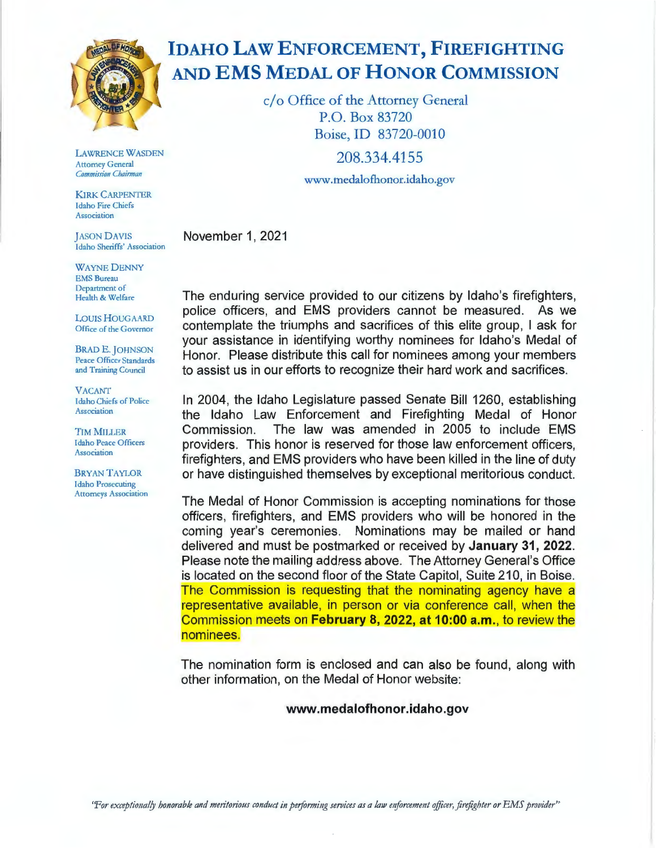

**LAWRENCE WASDEN Attorney General Commission Chairman** 

**KIRK CARPENTER** Idaho Fire Chiefs **Association** 

**IASON DAVIS** Idaho Sheriffs' Association

**WAYNE DENNY EMS Bureau** Department of Health & Welfare

**LOUIS HOUGAARD** Office of the Governor

**BRAD E. JOHNSON** Peace Officer Standards and Training Council

**VACANT Idaho Chiefs of Police** Association

**TIM MILLER Idaho Peace Officers Association** 

**BRYAN TAYLOR Idaho Prosecuting Attorneys Association** 

## **IDAHO LAW ENFORCEMENT, FIREFIGHTING** AND EMS MEDAL OF HONOR COMMISSION

c/o Office of the Attorney General P.O. Box 83720 Boise, ID 83720-0010 208.334.4155 www.medalofhonor.idaho.gov

November 1, 2021

The enduring service provided to our citizens by Idaho's firefighters, police officers, and EMS providers cannot be measured. As we contemplate the triumphs and sacrifices of this elite group, I ask for vour assistance in identifying worthy nominees for Idaho's Medal of Honor. Please distribute this call for nominees among your members to assist us in our efforts to recognize their hard work and sacrifices.

In 2004, the Idaho Legislature passed Senate Bill 1260, establishing the Idaho Law Enforcement and Firefighting Medal of Honor Commission. The law was amended in 2005 to include EMS providers. This honor is reserved for those law enforcement officers. firefighters, and EMS providers who have been killed in the line of duty or have distinguished themselves by exceptional meritorious conduct.

The Medal of Honor Commission is accepting nominations for those officers, firefighters, and EMS providers who will be honored in the coming year's ceremonies. Nominations may be mailed or hand delivered and must be postmarked or received by **January 31, 2022**. Please note the mailing address above. The Attorney General's Office is located on the second floor of the State Capitol, Suite 210, in Boise. The Commission is requesting that the nominating agency have a representative available, in person or via conference call, when the Commission meets on February 8, 2022, at 10:00 a.m., to review the nominees.

The nomination form is enclosed and can also be found, along with other information, on the Medal of Honor website:

## www.medalofhonor.idaho.gov